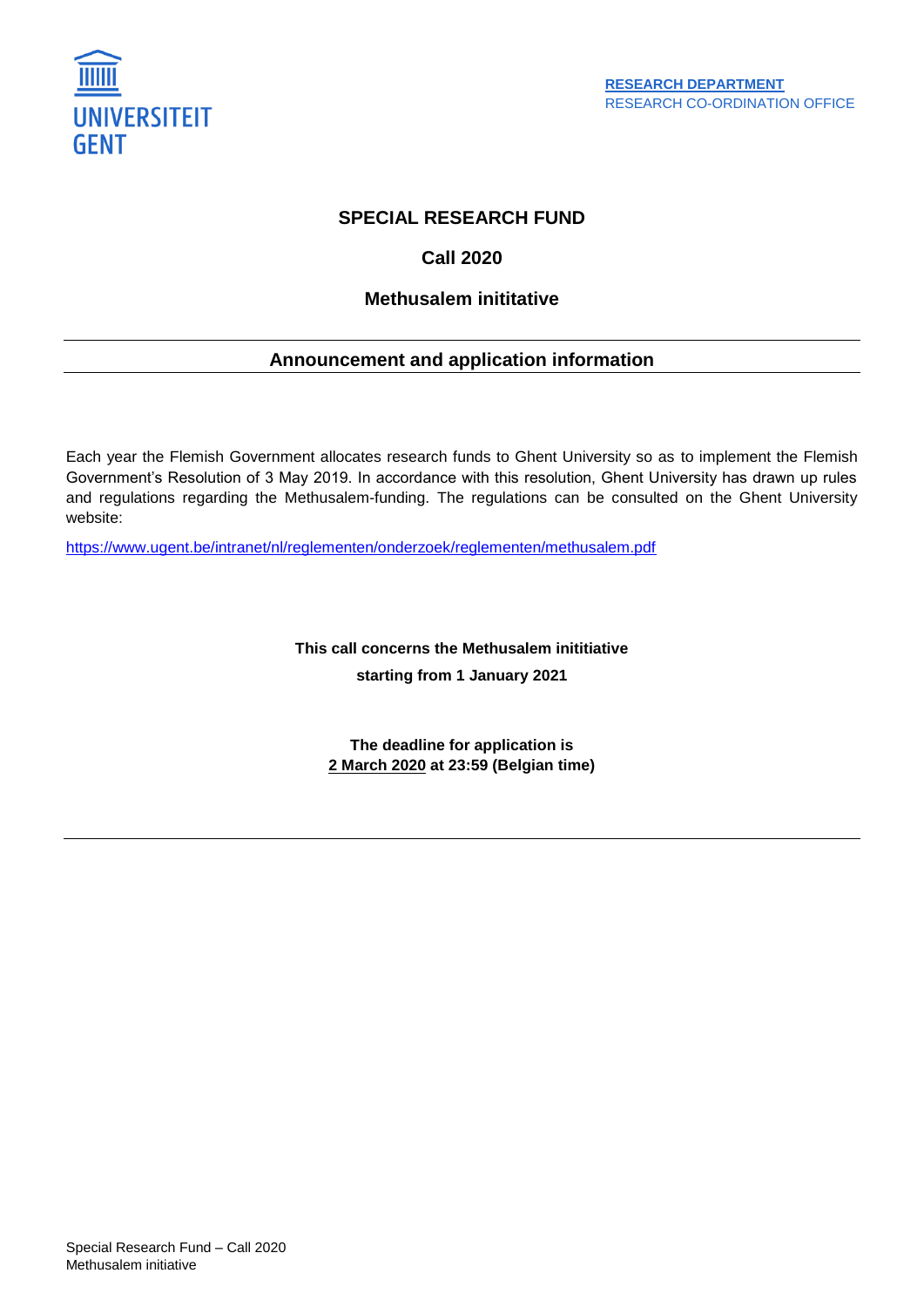

# **SPECIAL RESEARCH FUND**

# **Call 2020**

# **Methusalem inititative**

# **Announcement and application information**

Each year the Flemish Government allocates research funds to Ghent University so as to implement the Flemish Government's Resolution of 3 May 2019. In accordance with this resolution, Ghent University has drawn up rules and regulations regarding the Methusalem-funding. The regulations can be consulted on the Ghent University website:

<https://www.ugent.be/intranet/nl/reglementen/onderzoek/reglementen/methusalem.pdf>

**This call concerns the Methusalem inititiative starting from 1 January 2021** 

**The deadline for application is 2 March 2020 at 23:59 (Belgian time)**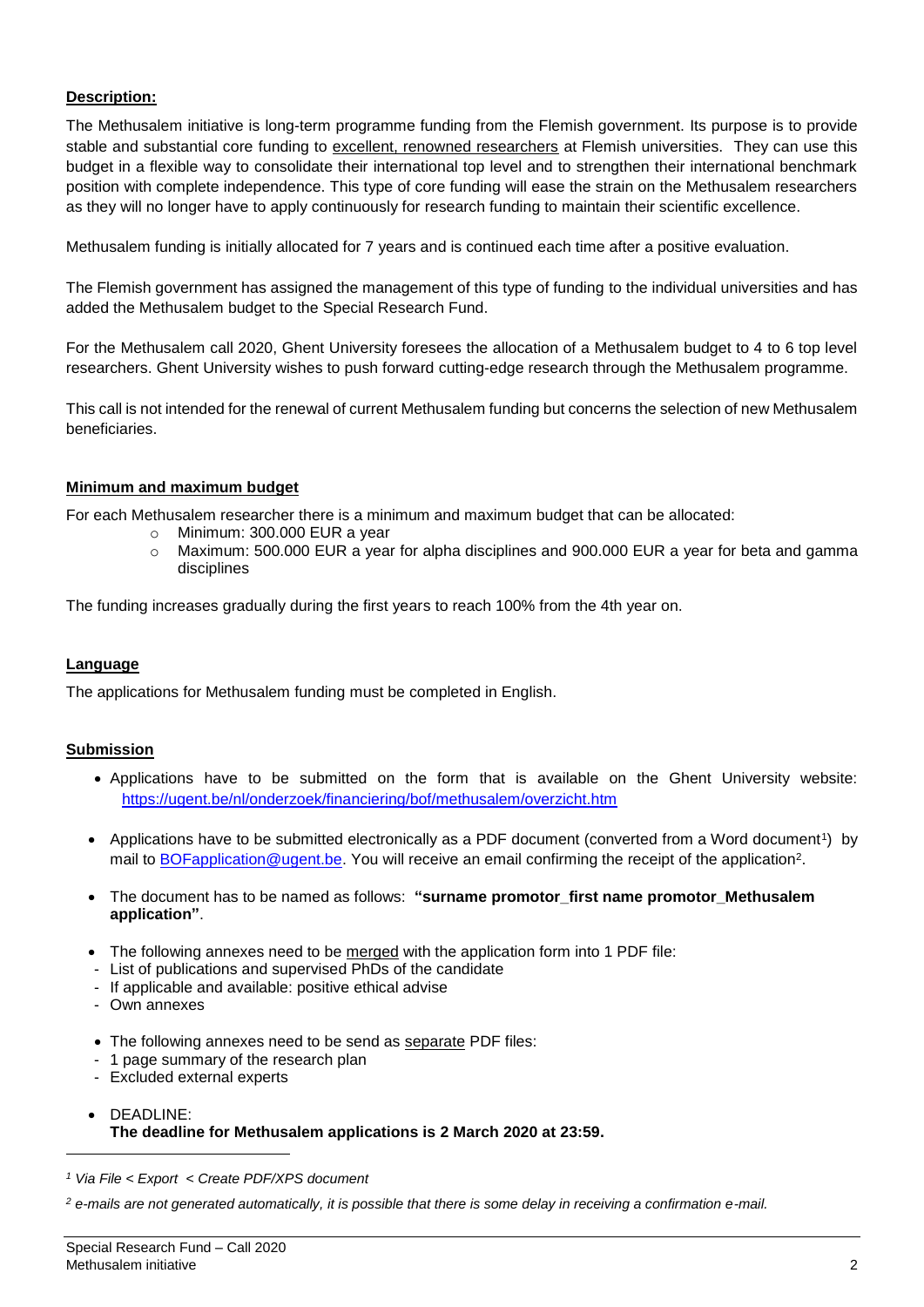## **Description:**

The Methusalem initiative is long-term programme funding from the Flemish government. Its purpose is to provide stable and substantial core funding to excellent, renowned researchers at Flemish universities. They can use this budget in a flexible way to consolidate their international top level and to strengthen their international benchmark position with complete independence. This type of core funding will ease the strain on the Methusalem researchers as they will no longer have to apply continuously for research funding to maintain their scientific excellence.

Methusalem funding is initially allocated for 7 years and is continued each time after a positive evaluation.

The Flemish government has assigned the management of this type of funding to the individual universities and has added the Methusalem budget to the Special Research Fund.

For the Methusalem call 2020, Ghent University foresees the allocation of a Methusalem budget to 4 to 6 top level researchers. Ghent University wishes to push forward cutting-edge research through the Methusalem programme.

This call is not intended for the renewal of current Methusalem funding but concerns the selection of new Methusalem beneficiaries.

## **Minimum and maximum budget**

For each Methusalem researcher there is a minimum and maximum budget that can be allocated:

- o Minimum: 300.000 EUR a year
- o Maximum: 500.000 EUR a year for alpha disciplines and 900.000 EUR a year for beta and gamma disciplines

The funding increases gradually during the first years to reach 100% from the 4th year on.

### **Language**

The applications for Methusalem funding must be completed in English.

### **Submission**

- Applications have to be submitted on the form that is available on the Ghent University website: <https://ugent.be/nl/onderzoek/financiering/bof/methusalem/overzicht.htm>
- Applications have to be submitted electronically as a PDF document (converted from a Word document<sup>1</sup>) by mail to **BOFapplication @ugent.be.** You will receive an email confirming the receipt of the application<sup>2</sup>.
- The document has to be named as follows: **"surname promotor\_first name promotor\_Methusalem application"**.
- The following annexes need to be merged with the application form into 1 PDF file:
- List of publications and supervised PhDs of the candidate
- If applicable and available: positive ethical advise
- Own annexes

l

- The following annexes need to be send as separate PDF files:
- 1 page summary of the research plan
- Excluded external experts
- DEADLINE: **The deadline for Methusalem applications is 2 March 2020 at 23:59.**

*<sup>1</sup> Via File < Export < Create PDF/XPS document*

*<sup>2</sup> e-mails are not generated automatically, it is possible that there is some delay in receiving a confirmation e-mail.*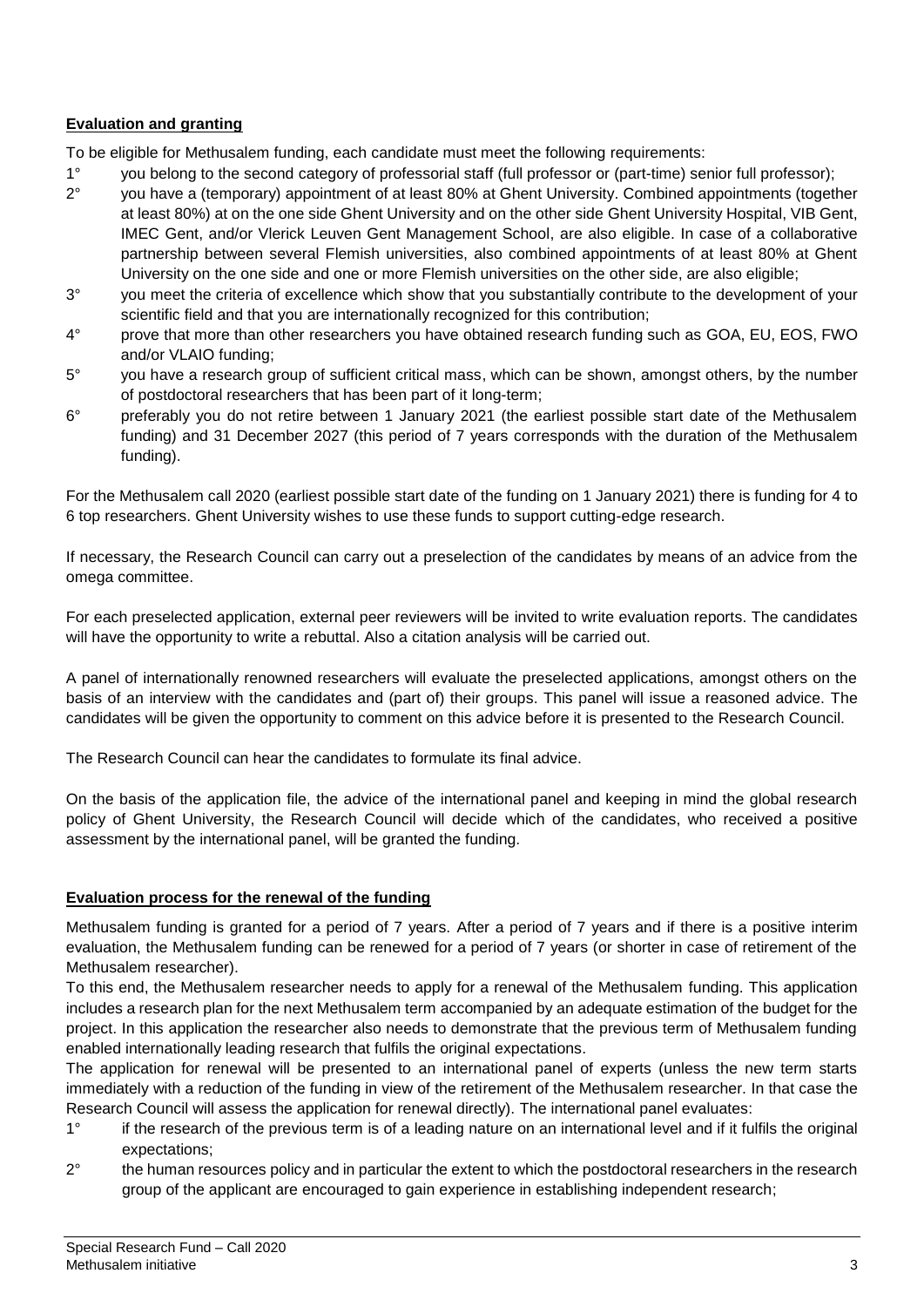# **Evaluation and granting**

To be eligible for Methusalem funding, each candidate must meet the following requirements:

- 1° you belong to the second category of professorial staff (full professor or (part-time) senior full professor);
- 2° you have a (temporary) appointment of at least 80% at Ghent University. Combined appointments (together at least 80%) at on the one side Ghent University and on the other side Ghent University Hospital, VIB Gent, IMEC Gent, and/or Vlerick Leuven Gent Management School, are also eligible. In case of a collaborative partnership between several Flemish universities, also combined appointments of at least 80% at Ghent University on the one side and one or more Flemish universities on the other side, are also eligible;
- 3° you meet the criteria of excellence which show that you substantially contribute to the development of your scientific field and that you are internationally recognized for this contribution;
- 4° prove that more than other researchers you have obtained research funding such as GOA, EU, EOS, FWO and/or VLAIO funding;
- 5° you have a research group of sufficient critical mass, which can be shown, amongst others, by the number of postdoctoral researchers that has been part of it long-term;
- 6° preferably you do not retire between 1 January 2021 (the earliest possible start date of the Methusalem funding) and 31 December 2027 (this period of 7 years corresponds with the duration of the Methusalem funding).

For the Methusalem call 2020 (earliest possible start date of the funding on 1 January 2021) there is funding for 4 to 6 top researchers. Ghent University wishes to use these funds to support cutting-edge research.

If necessary, the Research Council can carry out a preselection of the candidates by means of an advice from the omega committee.

For each preselected application, external peer reviewers will be invited to write evaluation reports. The candidates will have the opportunity to write a rebuttal. Also a citation analysis will be carried out.

A panel of internationally renowned researchers will evaluate the preselected applications, amongst others on the basis of an interview with the candidates and (part of) their groups. This panel will issue a reasoned advice. The candidates will be given the opportunity to comment on this advice before it is presented to the Research Council.

The Research Council can hear the candidates to formulate its final advice.

On the basis of the application file, the advice of the international panel and keeping in mind the global research policy of Ghent University, the Research Council will decide which of the candidates, who received a positive assessment by the international panel, will be granted the funding.

### **Evaluation process for the renewal of the funding**

Methusalem funding is granted for a period of 7 years. After a period of 7 years and if there is a positive interim evaluation, the Methusalem funding can be renewed for a period of 7 years (or shorter in case of retirement of the Methusalem researcher).

To this end, the Methusalem researcher needs to apply for a renewal of the Methusalem funding. This application includes a research plan for the next Methusalem term accompanied by an adequate estimation of the budget for the project. In this application the researcher also needs to demonstrate that the previous term of Methusalem funding enabled internationally leading research that fulfils the original expectations.

The application for renewal will be presented to an international panel of experts (unless the new term starts immediately with a reduction of the funding in view of the retirement of the Methusalem researcher. In that case the Research Council will assess the application for renewal directly). The international panel evaluates:

- 1° if the research of the previous term is of a leading nature on an international level and if it fulfils the original expectations;
- 2<sup>°</sup> the human resources policy and in particular the extent to which the postdoctoral researchers in the research group of the applicant are encouraged to gain experience in establishing independent research;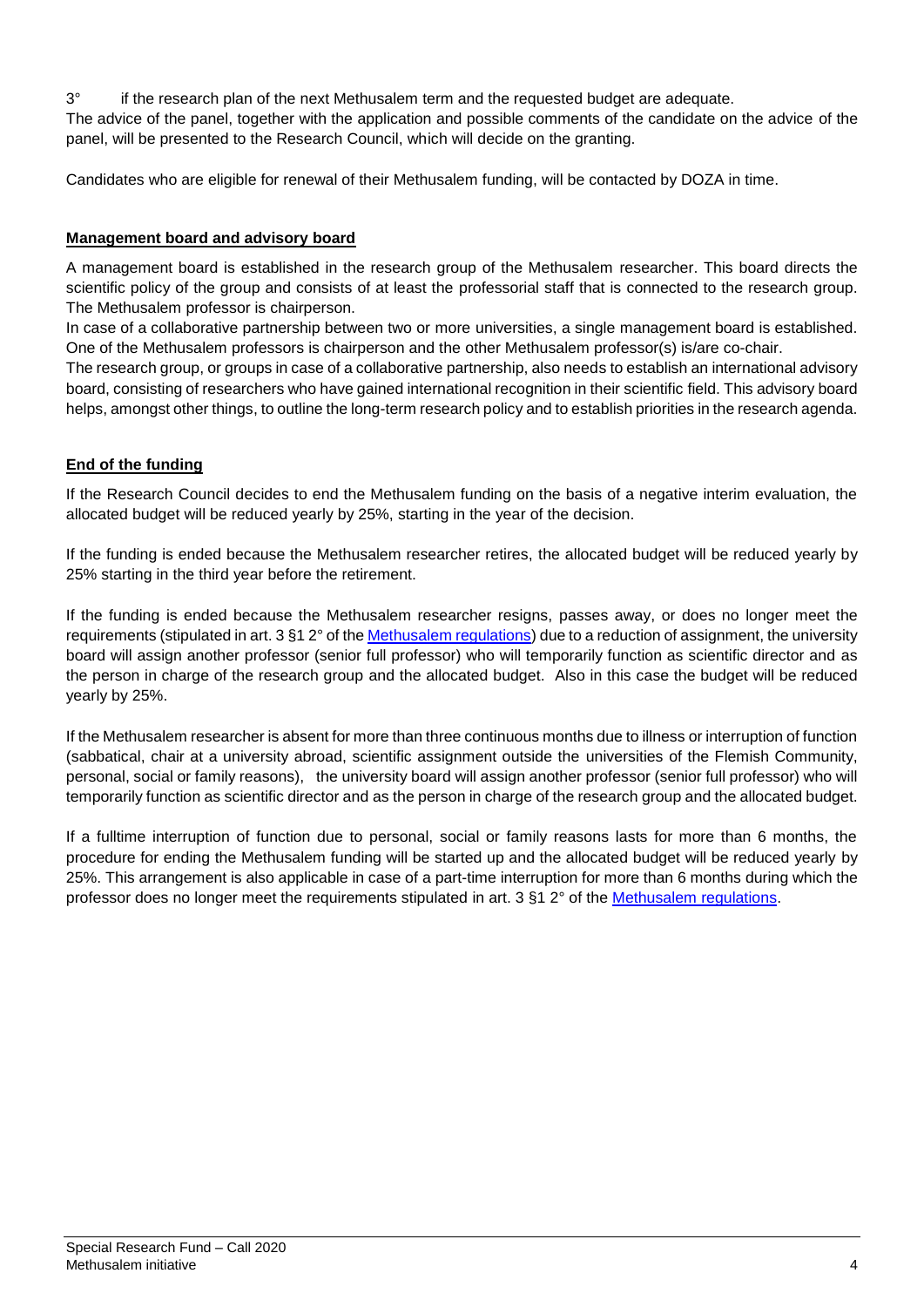3° if the research plan of the next Methusalem term and the requested budget are adequate. The advice of the panel, together with the application and possible comments of the candidate on the advice of the panel, will be presented to the Research Council, which will decide on the granting.

Candidates who are eligible for renewal of their Methusalem funding, will be contacted by DOZA in time.

## **Management board and advisory board**

A management board is established in the research group of the Methusalem researcher. This board directs the scientific policy of the group and consists of at least the professorial staff that is connected to the research group. The Methusalem professor is chairperson.

In case of a collaborative partnership between two or more universities, a single management board is established. One of the Methusalem professors is chairperson and the other Methusalem professor(s) is/are co-chair.

The research group, or groups in case of a collaborative partnership, also needs to establish an international advisory board, consisting of researchers who have gained international recognition in their scientific field. This advisory board helps, amongst other things, to outline the long-term research policy and to establish priorities in the research agenda.

## **End of the funding**

If the Research Council decides to end the Methusalem funding on the basis of a negative interim evaluation, the allocated budget will be reduced yearly by 25%, starting in the year of the decision.

If the funding is ended because the Methusalem researcher retires, the allocated budget will be reduced yearly by 25% starting in the third year before the retirement.

If the funding is ended because the Methusalem researcher resigns, passes away, or does no longer meet the requirements (stipulated in art. 3 §1 2° of the [Methusalem regulations\)](https://www.ugent.be/intranet/nl/reglementen/onderzoek/reglementen/methusalem.pdf) due to a reduction of assignment, the university board will assign another professor (senior full professor) who will temporarily function as scientific director and as the person in charge of the research group and the allocated budget. Also in this case the budget will be reduced yearly by 25%.

If the Methusalem researcher is absent for more than three continuous months due to illness or interruption of function (sabbatical, chair at a university abroad, scientific assignment outside the universities of the Flemish Community, personal, social or family reasons), the university board will assign another professor (senior full professor) who will temporarily function as scientific director and as the person in charge of the research group and the allocated budget.

If a fulltime interruption of function due to personal, social or family reasons lasts for more than 6 months, the procedure for ending the Methusalem funding will be started up and the allocated budget will be reduced yearly by 25%. This arrangement is also applicable in case of a part-time interruption for more than 6 months during which the professor does no longer meet the requirements stipulated in art. 3 §1 2° of the [Methusalem regulations.](https://www.ugent.be/intranet/nl/reglementen/onderzoek/reglementen/methusalem.pdf)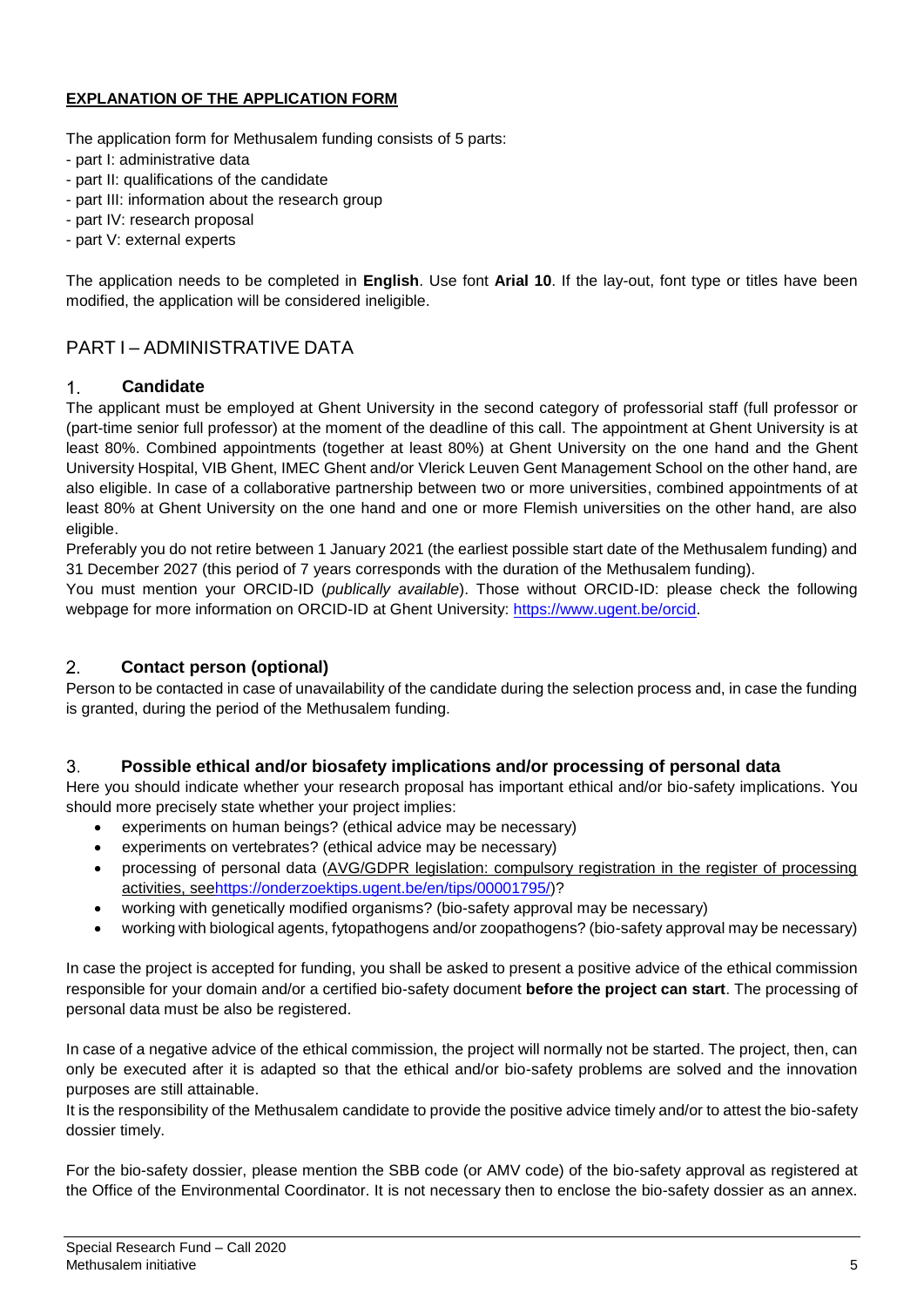# **EXPLANATION OF THE APPLICATION FORM**

The application form for Methusalem funding consists of 5 parts:

- part I: administrative data
- part II: qualifications of the candidate
- part III: information about the research group
- part IV: research proposal
- part V: external experts

The application needs to be completed in **English**. Use font **Arial 10**. If the lay-out, font type or titles have been modified, the application will be considered ineligible.

# PART I – ADMINISTRATIVE DATA

#### $1<sub>1</sub>$ **Candidate**

The applicant must be employed at Ghent University in the second category of professorial staff (full professor or (part-time senior full professor) at the moment of the deadline of this call. The appointment at Ghent University is at least 80%. Combined appointments (together at least 80%) at Ghent University on the one hand and the Ghent University Hospital, VIB Ghent, IMEC Ghent and/or Vlerick Leuven Gent Management School on the other hand, are also eligible. In case of a collaborative partnership between two or more universities, combined appointments of at least 80% at Ghent University on the one hand and one or more Flemish universities on the other hand, are also eligible.

Preferably you do not retire between 1 January 2021 (the earliest possible start date of the Methusalem funding) and 31 December 2027 (this period of 7 years corresponds with the duration of the Methusalem funding).

You must mention your ORCID-ID (*publically available*). Those without ORCID-ID: please check the following webpage for more information on ORCID-ID at Ghent University: [https://www.ugent.be/orcid.](https://www.ugent.be/orcid)

#### $2.$ **Contact person (optional)**

Person to be contacted in case of unavailability of the candidate during the selection process and, in case the funding is granted, during the period of the Methusalem funding.

#### $3.$ **Possible ethical and/or biosafety implications and/or processing of personal data**

Here you should indicate whether your research proposal has important ethical and/or bio-safety implications. You should more precisely state whether your project implies:

- experiments on human beings? (ethical advice may be necessary)
- experiments on vertebrates? (ethical advice may be necessary)
- processing of personal data (AVG/GDPR legislation: compulsory registration in the register of processing activities, se[ehttps://onderzoektips.ugent.be/en/tips/00001795/\)](https://onderzoektips.ugent.be/en/tips/00001795/)?
- working with genetically modified organisms? (bio-safety approval may be necessary)
- working with biological agents, fytopathogens and/or zoopathogens? (bio-safety approval may be necessary)

In case the project is accepted for funding, you shall be asked to present a positive advice of the ethical commission responsible for your domain and/or a certified bio-safety document **before the project can start**. The processing of personal data must be also be registered.

In case of a negative advice of the ethical commission, the project will normally not be started. The project, then, can only be executed after it is adapted so that the ethical and/or bio-safety problems are solved and the innovation purposes are still attainable.

It is the responsibility of the Methusalem candidate to provide the positive advice timely and/or to attest the bio-safety dossier timely.

For the bio-safety dossier, please mention the SBB code (or AMV code) of the bio-safety approval as registered at the Office of the Environmental Coordinator. It is not necessary then to enclose the bio-safety dossier as an annex.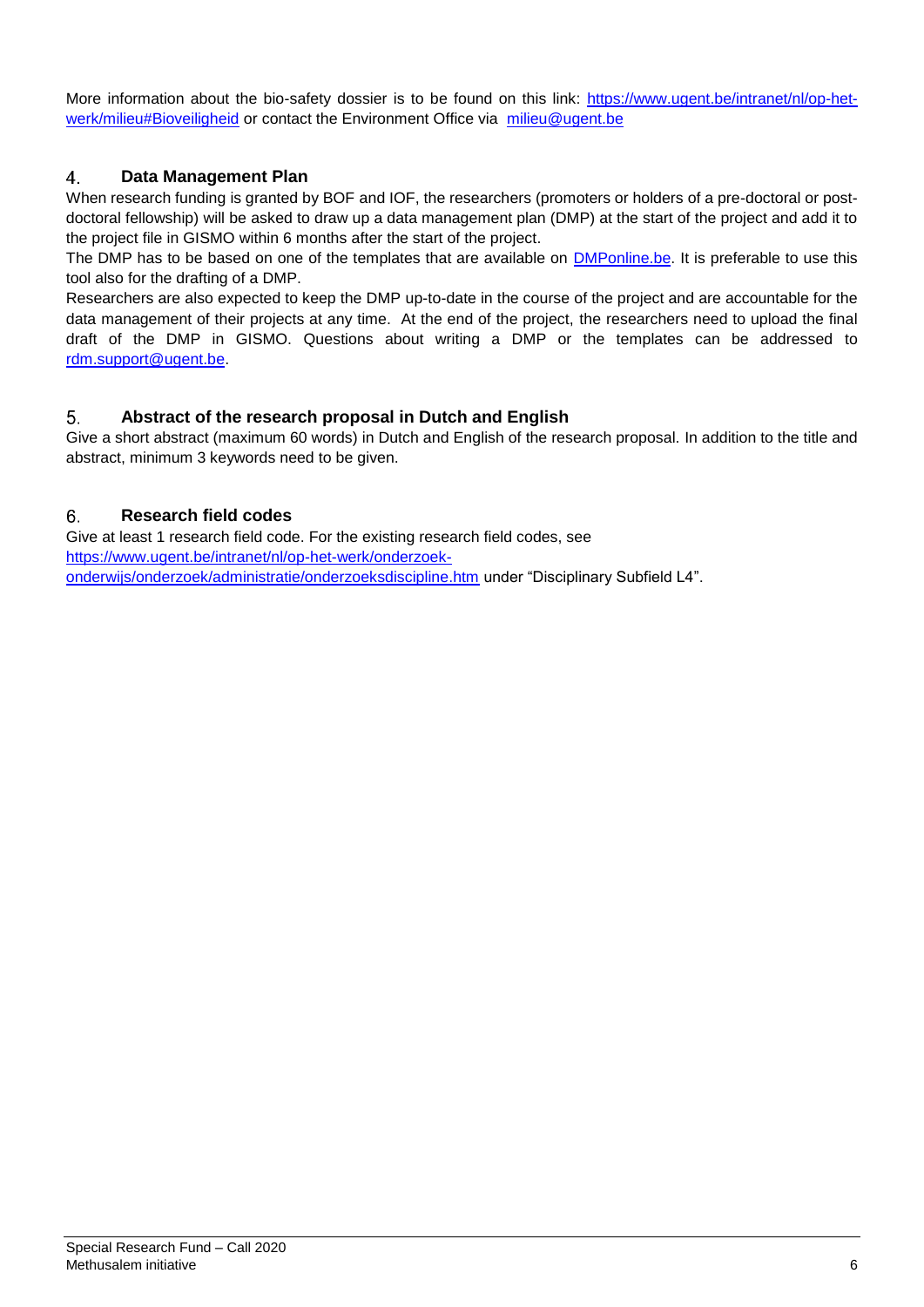More information about the bio-safety dossier is to be found on this link: [https://www.ugent.be/intranet/nl/op-het](https://www.ugent.be/intranet/nl/op-het-werk/milieu#Bioveiligheid)[werk/milieu#Bioveiligheid](https://www.ugent.be/intranet/nl/op-het-werk/milieu#Bioveiligheid) or contact the Environment Office via [milieu@ugent.be](mailto:milieu@ugent.be)

### $4.$ **Data Management Plan**

When research funding is granted by BOF and IOF, the researchers (promoters or holders of a pre-doctoral or postdoctoral fellowship) will be asked to draw up a data management plan (DMP) at the start of the project and add it to the project file in GISMO within 6 months after the start of the project.

The DMP has to be based on one of the templates that are available on [DMPonline.be.](https://dmponline.be/) It is preferable to use this tool also for the drafting of a DMP.

Researchers are also expected to keep the DMP up-to-date in the course of the project and are accountable for the data management of their projects at any time. At the end of the project, the researchers need to upload the final draft of the DMP in GISMO. Questions about writing a DMP or the templates can be addressed to [rdm.support@ugent.be.](mailto:rdm.support@ugent.be)

### 5. **Abstract of the research proposal in Dutch and English**

Give a short abstract (maximum 60 words) in Dutch and English of the research proposal. In addition to the title and abstract, minimum 3 keywords need to be given.

### **Research field codes** 6.

Give at least 1 research field code. For the existing research field codes, see [https://www.ugent.be/intranet/nl/op-het-werk/onderzoek](https://www.ugent.be/intranet/nl/op-het-werk/onderzoek-onderwijs/onderzoek/administratie/onderzoeksdiscipline.htm)[onderwijs/onderzoek/administratie/onderzoeksdiscipline.htm](https://www.ugent.be/intranet/nl/op-het-werk/onderzoek-onderwijs/onderzoek/administratie/onderzoeksdiscipline.htm) under "Disciplinary Subfield L4".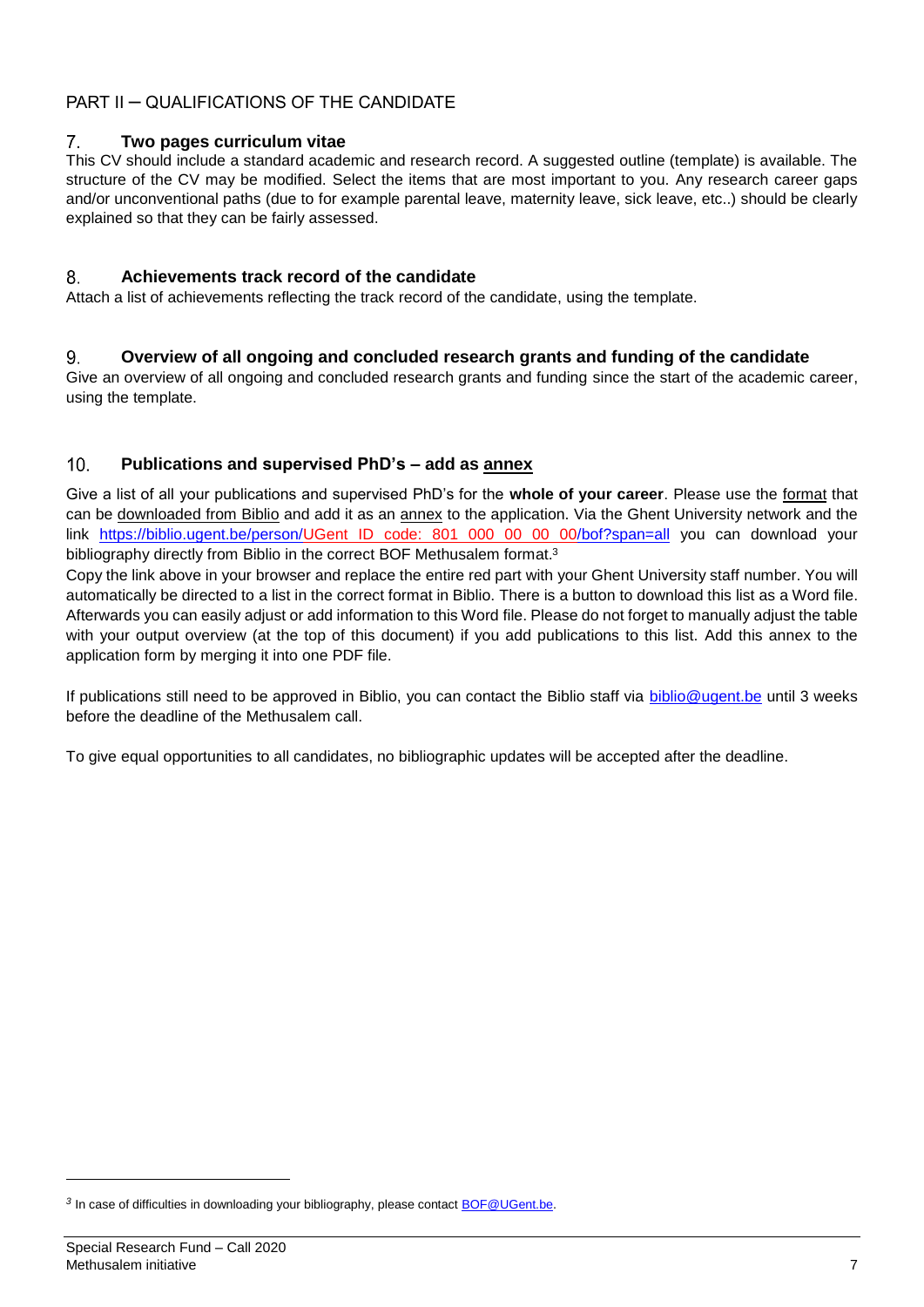# PART II – QUALIFICATIONS OF THE CANDIDATE

### $7<sub>1</sub>$ **Two pages curriculum vitae**

This CV should include a standard academic and research record. A suggested outline (template) is available. The structure of the CV may be modified. Select the items that are most important to you. Any research career gaps and/or unconventional paths (due to for example parental leave, maternity leave, sick leave, etc..) should be clearly explained so that they can be fairly assessed.

### 8. **Achievements track record of the candidate**

Attach a list of achievements reflecting the track record of the candidate, using the template.

#### 9. **Overview of all ongoing and concluded research grants and funding of the candidate**

Give an overview of all ongoing and concluded research grants and funding since the start of the academic career, using the template.

### $10<sub>1</sub>$ **Publications and supervised PhD's – add as annex**

Give a list of all your publications and supervised PhD's for the **whole of your career**. Please use the format that can be downloaded from Biblio and add it as an annex to the application. Via the Ghent University network and the link [https://biblio.ugent.be/person/U](https://biblio.ugent.be/person/)Gent ID code: 801 000 00 00 00/bof?span=all you can download your bibliography directly from Biblio in the correct BOF Methusalem format.<sup>3</sup>

Copy the link above in your browser and replace the entire red part with your Ghent University staff number. You will automatically be directed to a list in the correct format in Biblio. There is a button to download this list as a Word file. Afterwards you can easily adjust or add information to this Word file. Please do not forget to manually adjust the table with your output overview (at the top of this document) if you add publications to this list. Add this annex to the application form by merging it into one PDF file.

If publications still need to be approved in Biblio, you can contact the Biblio staff via [biblio@ugent.be](mailto:biblio@ugent.be) until 3 weeks before the deadline of the Methusalem call.

To give equal opportunities to all candidates, no bibliographic updates will be accepted after the deadline.

l

<sup>&</sup>lt;sup>3</sup> In case of difficulties in downloading your bibliography, please contact **BOF@UGent.be.**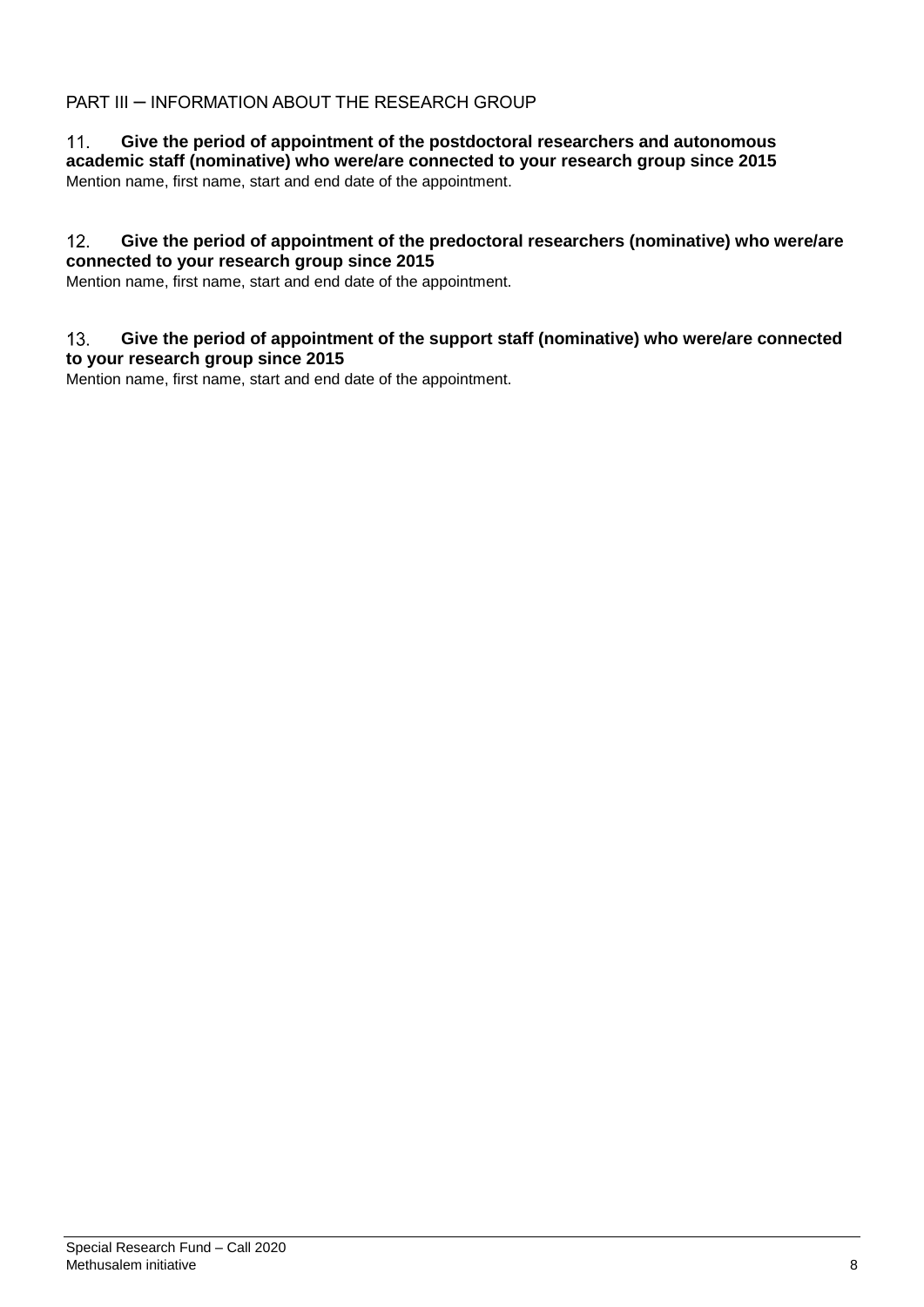# PART III – INFORMATION ABOUT THE RESEARCH GROUP

### $11.$ **Give the period of appointment of the postdoctoral researchers and autonomous academic staff (nominative) who were/are connected to your research group since 2015** Mention name, first name, start and end date of the appointment.

### $12.$ **Give the period of appointment of the predoctoral researchers (nominative) who were/are connected to your research group since 2015**

Mention name, first name, start and end date of the appointment.

### $13.$ **Give the period of appointment of the support staff (nominative) who were/are connected to your research group since 2015**

Mention name, first name, start and end date of the appointment.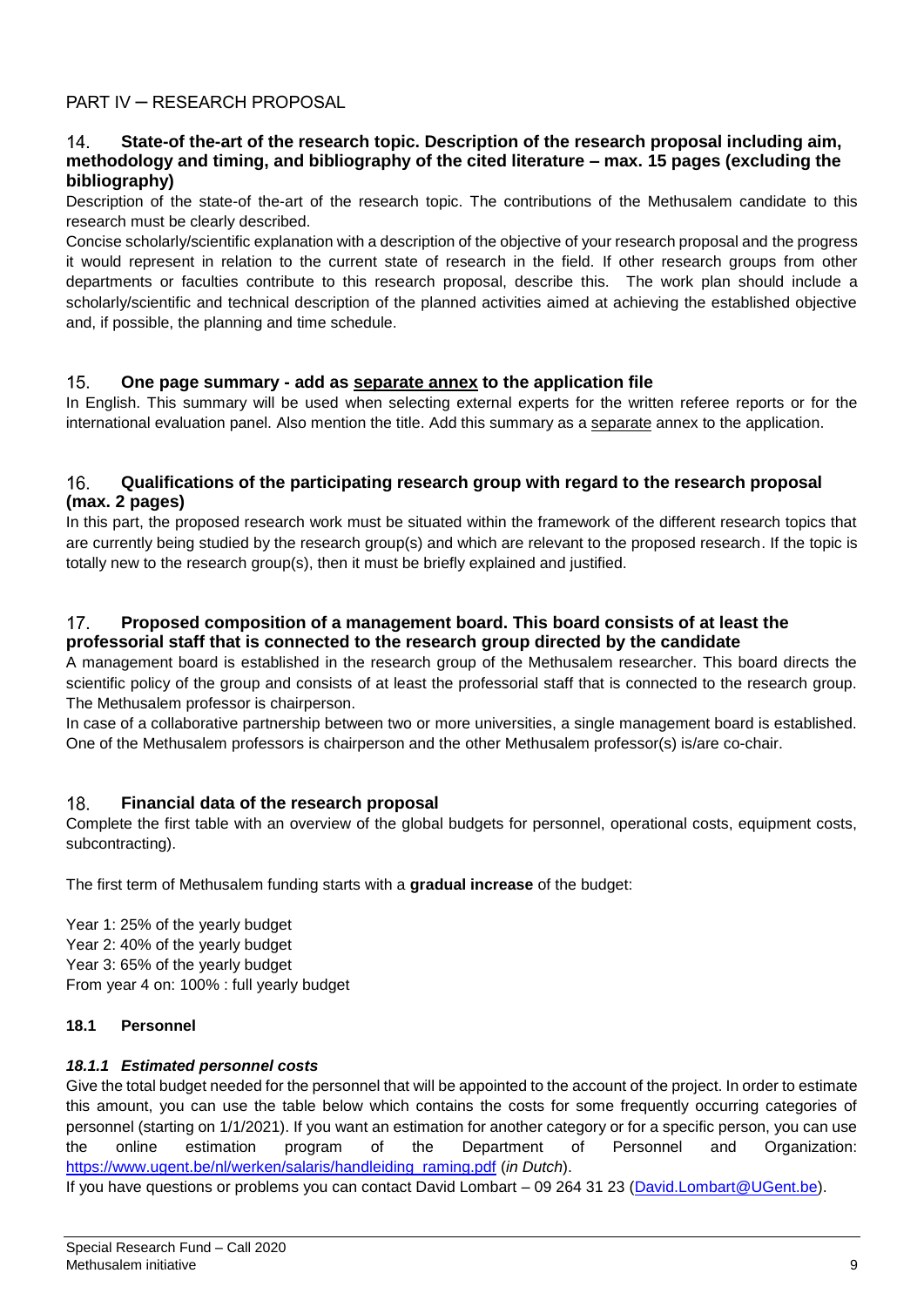### **State-of the-art of the research topic. Description of the research proposal including aim,**   $14<sub>1</sub>$ **methodology and timing, and bibliography of the cited literature – max. 15 pages (excluding the bibliography)**

Description of the state-of the-art of the research topic. The contributions of the Methusalem candidate to this research must be clearly described.

Concise scholarly/scientific explanation with a description of the objective of your research proposal and the progress it would represent in relation to the current state of research in the field. If other research groups from other departments or faculties contribute to this research proposal, describe this. The work plan should include a scholarly/scientific and technical description of the planned activities aimed at achieving the established objective and, if possible, the planning and time schedule.

### $15.$ **One page summary - add as separate annex to the application file**

In English. This summary will be used when selecting external experts for the written referee reports or for the international evaluation panel. Also mention the title. Add this summary as a separate annex to the application.

### $16.$ **Qualifications of the participating research group with regard to the research proposal (max. 2 pages)**

In this part, the proposed research work must be situated within the framework of the different research topics that are currently being studied by the research group(s) and which are relevant to the proposed research. If the topic is totally new to the research group(s), then it must be briefly explained and justified.

### **Proposed composition of a management board. This board consists of at least the**   $17<sub>1</sub>$ **professorial staff that is connected to the research group directed by the candidate**

A management board is established in the research group of the Methusalem researcher. This board directs the scientific policy of the group and consists of at least the professorial staff that is connected to the research group. The Methusalem professor is chairperson.

In case of a collaborative partnership between two or more universities, a single management board is established. One of the Methusalem professors is chairperson and the other Methusalem professor(s) is/are co-chair.

### $18.$ **Financial data of the research proposal**

Complete the first table with an overview of the global budgets for personnel, operational costs, equipment costs, subcontracting).

The first term of Methusalem funding starts with a **gradual increase** of the budget:

Year 1: 25% of the yearly budget Year 2: 40% of the yearly budget Year 3: 65% of the yearly budget From year 4 on: 100% : full yearly budget

## **18.1 Personnel**

## *18.1.1 Estimated personnel costs*

Give the total budget needed for the personnel that will be appointed to the account of the project. In order to estimate this amount, you can use the table below which contains the costs for some frequently occurring categories of personnel (starting on 1/1/2021). If you want an estimation for another category or for a specific person, you can use the online estimation program of the Department of Personnel and Organization: [https://www.ugent.be/nl/werken/salaris/handleiding\\_raming.pdf](https://www.ugent.be/nl/werken/salaris/handleiding_raming.pdf) (*in Dutch*).

If you have questions or problems you can contact David Lombart – 09 264 31 23 [\(David.Lombart@UGent.be\)](mailto:David.Lombart@UGent.be).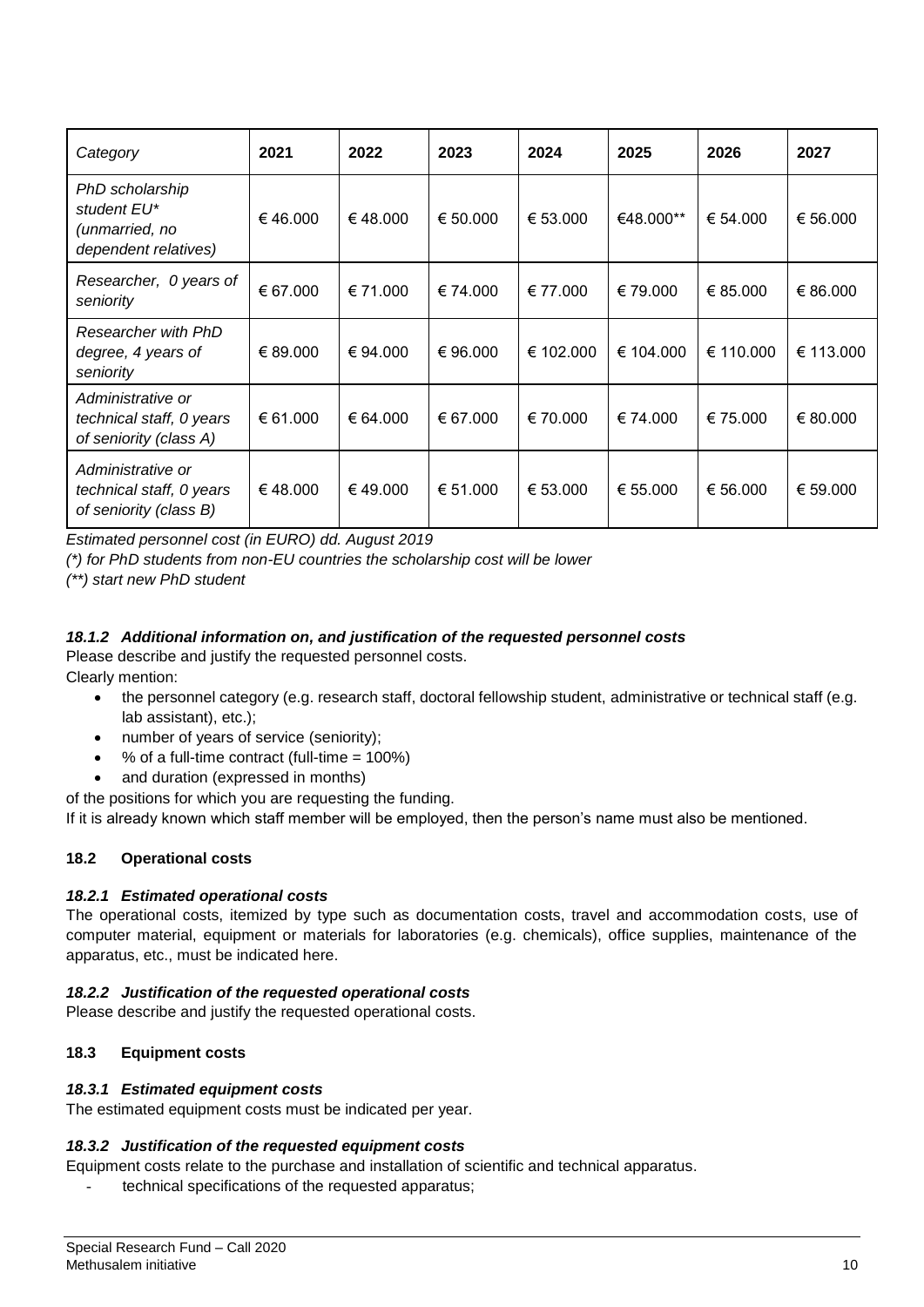| Category                                                                 | 2021     | 2022     | 2023     | 2024      | 2025      | 2026      | 2027      |
|--------------------------------------------------------------------------|----------|----------|----------|-----------|-----------|-----------|-----------|
| PhD scholarship<br>student EU*<br>(unmarried, no<br>dependent relatives) | €46.000  | €48.000  | € 50.000 | € 53.000  | €48.000** | € 54.000  | € 56.000  |
| Researcher, 0 years of<br>seniority                                      | € 67.000 | € 71.000 | € 74.000 | € 77.000  | € 79.000  | € 85.000  | € 86.000  |
| Researcher with PhD<br>degree, 4 years of<br>seniority                   | € 89.000 | € 94.000 | € 96.000 | € 102.000 | € 104.000 | € 110.000 | € 113.000 |
| Administrative or<br>technical staff, 0 years<br>of seniority (class A)  | € 61.000 | € 64.000 | € 67.000 | € 70.000  | € 74.000  | € 75.000  | € 80.000  |
| Administrative or<br>technical staff, 0 years<br>of seniority (class B)  | €48.000  | €49.000  | € 51.000 | € 53.000  | € 55.000  | € 56.000  | € 59.000  |

*Estimated personnel cost (in EURO) dd. August 2019*

*(\*) for PhD students from non-EU countries the scholarship cost will be lower*

*(\*\*) start new PhD student*

## *18.1.2 Additional information on, and justification of the requested personnel costs*

Please describe and justify the requested personnel costs. Clearly mention:

- the personnel category (e.g. research staff, doctoral fellowship student, administrative or technical staff (e.g. lab assistant), etc.);
- number of years of service (seniority);
- % of a full-time contract (full-time = 100%)
- and duration (expressed in months)

of the positions for which you are requesting the funding.

If it is already known which staff member will be employed, then the person's name must also be mentioned.

# **18.2 Operational costs**

## *18.2.1 Estimated operational costs*

The operational costs, itemized by type such as documentation costs, travel and accommodation costs, use of computer material, equipment or materials for laboratories (e.g. chemicals), office supplies, maintenance of the apparatus, etc., must be indicated here.

## *18.2.2 Justification of the requested operational costs*

Please describe and justify the requested operational costs.

## **18.3 Equipment costs**

## *18.3.1 Estimated equipment costs*

The estimated equipment costs must be indicated per year.

## *18.3.2 Justification of the requested equipment costs*

Equipment costs relate to the purchase and installation of scientific and technical apparatus.

technical specifications of the requested apparatus;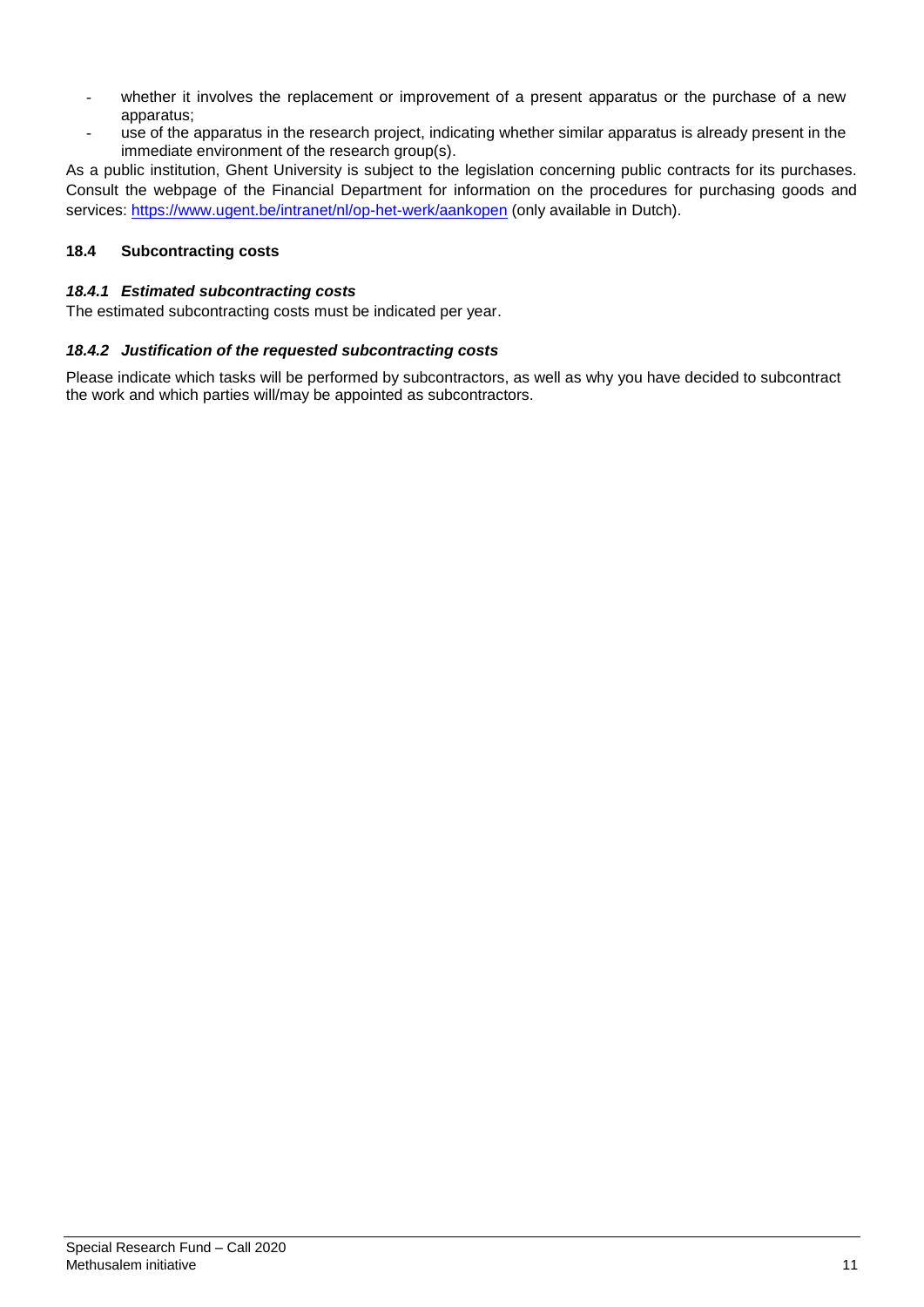- whether it involves the replacement or improvement of a present apparatus or the purchase of a new apparatus;
- use of the apparatus in the research project, indicating whether similar apparatus is already present in the immediate environment of the research group(s).

As a public institution, Ghent University is subject to the legislation concerning public contracts for its purchases. Consult the webpage of the Financial Department for information on the procedures for purchasing goods and services:<https://www.ugent.be/intranet/nl/op-het-werk/aankopen> (only available in Dutch).

## **18.4 Subcontracting costs**

### *18.4.1 Estimated subcontracting costs*

The estimated subcontracting costs must be indicated per year.

### *18.4.2 Justification of the requested subcontracting costs*

Please indicate which tasks will be performed by subcontractors, as well as why you have decided to subcontract the work and which parties will/may be appointed as subcontractors.